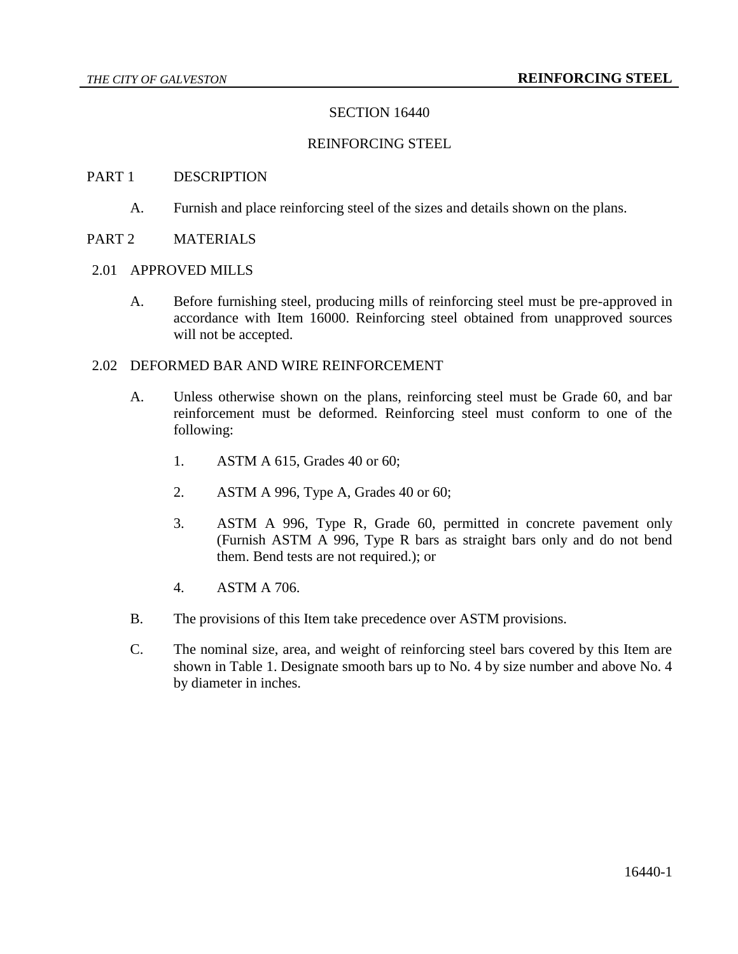## SECTION 16440

### REINFORCING STEEL

#### PART 1 DESCRIPTION

A. Furnish and place reinforcing steel of the sizes and details shown on the plans.

# PART 2 MATERIALS

#### 2.01 APPROVED MILLS

A. Before furnishing steel, producing mills of reinforcing steel must be pre-approved in accordance with Item 16000. Reinforcing steel obtained from unapproved sources will not be accepted.

#### 2.02 DEFORMED BAR AND WIRE REINFORCEMENT

- A. Unless otherwise shown on the plans, reinforcing steel must be Grade 60, and bar reinforcement must be deformed. Reinforcing steel must conform to one of the following:
	- 1. ASTM A 615, Grades 40 or 60;
	- 2. ASTM A 996, Type A, Grades 40 or 60;
	- 3. ASTM A 996, Type R, Grade 60, permitted in concrete pavement only (Furnish ASTM A 996, Type R bars as straight bars only and do not bend them. Bend tests are not required.); or
	- 4. ASTM A 706.
- B. The provisions of this Item take precedence over ASTM provisions.
- C. The nominal size, area, and weight of reinforcing steel bars covered by this Item are shown in Table 1. Designate smooth bars up to No. 4 by size number and above No. 4 by diameter in inches.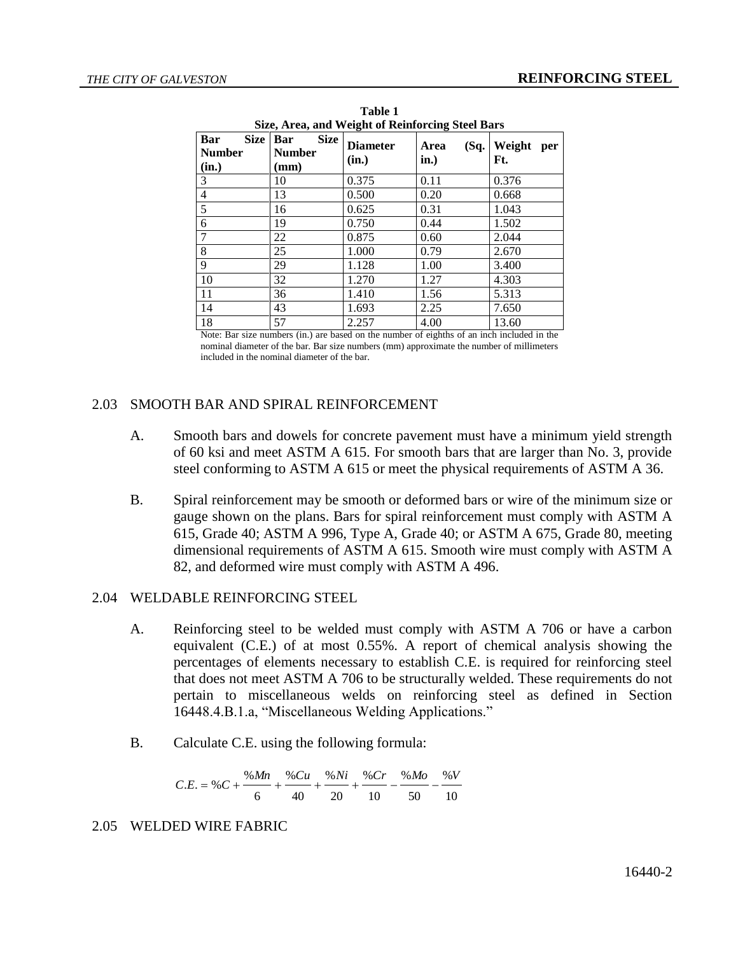| Size, Area, and Weight of Reinforcing Steel Bars |                                                        |                          |                      |                      |  |
|--------------------------------------------------|--------------------------------------------------------|--------------------------|----------------------|----------------------|--|
| <b>Size</b><br>Bar<br><b>Number</b><br>(in.)     | <b>Size</b><br>Bar<br><b>Number</b><br>$(\mathbf{mm})$ | <b>Diameter</b><br>(in.) | (Sq.<br>Area<br>in.) | Weight<br>per<br>Ft. |  |
| 3                                                | 10                                                     | 0.375                    | 0.11                 | 0.376                |  |
| $\overline{4}$                                   | 13                                                     | 0.500                    | 0.20                 | 0.668                |  |
| 5                                                | 16                                                     | 0.625                    | 0.31                 | 1.043                |  |
| $\boldsymbol{6}$                                 | 19                                                     | 0.750                    | 0.44                 | 1.502                |  |
| $\overline{7}$                                   | 22                                                     | 0.875                    | 0.60                 | 2.044                |  |
| 8                                                | 25                                                     | 1.000                    | 0.79                 | 2.670                |  |
| 9                                                | 29                                                     | 1.128                    | 1.00                 | 3.400                |  |
| 10                                               | 32                                                     | 1.270                    | 1.27                 | 4.303                |  |
| 11                                               | 36                                                     | 1.410                    | 1.56                 | 5.313                |  |
| 14                                               | 43                                                     | 1.693                    | 2.25                 | 7.650                |  |
| 18                                               | 57                                                     | 2.257                    | 4.00                 | 13.60                |  |

**Table 1 Size, Area, and Weight of Reinforcing Steel Bars**

Note: Bar size numbers (in.) are based on the number of eighths of an inch included in the nominal diameter of the bar. Bar size numbers (mm) approximate the number of millimeters included in the nominal diameter of the bar.

# 2.03 SMOOTH BAR AND SPIRAL REINFORCEMENT

- A. Smooth bars and dowels for concrete pavement must have a minimum yield strength of 60 ksi and meet ASTM A 615. For smooth bars that are larger than No. 3, provide steel conforming to ASTM A 615 or meet the physical requirements of ASTM A 36.
- B. Spiral reinforcement may be smooth or deformed bars or wire of the minimum size or gauge shown on the plans. Bars for spiral reinforcement must comply with ASTM A 615, Grade 40; ASTM A 996, Type A, Grade 40; or ASTM A 675, Grade 80, meeting dimensional requirements of ASTM A 615. Smooth wire must comply with ASTM A 82, and deformed wire must comply with ASTM A 496.

# 2.04 WELDABLE REINFORCING STEEL

- A. Reinforcing steel to be welded must comply with ASTM A 706 or have a carbon equivalent (C.E.) of at most 0.55%. A report of chemical analysis showing the percentages of elements necessary to establish C.E. is required for reinforcing steel that does not meet ASTM A 706 to be structurally welded. These requirements do not pertain to miscellaneous welds on reinforcing steel as defined in Section 16448.4.B.1.a, "Miscellaneous Welding Applications."
- B. Calculate C.E. using the following formula:

10  $%V$ 50 % $M<sub>O</sub>$ 10 % 20 % 40 % 6  $C.E. = %C + \frac{\%Mn}{\sqrt{1-\frac{m}{c}}} + \frac{\%Ni}{\sqrt{1-\frac{m}{c}}} + \frac{\%Cr}{\sqrt{1-\frac{m}{c}}} - \frac{\%Mo}{\sqrt{1-\frac{m}{c}}} - \frac{\%No}{\sqrt{1-\frac{m}{c}}}$ 

# 2.05 WELDED WIRE FABRIC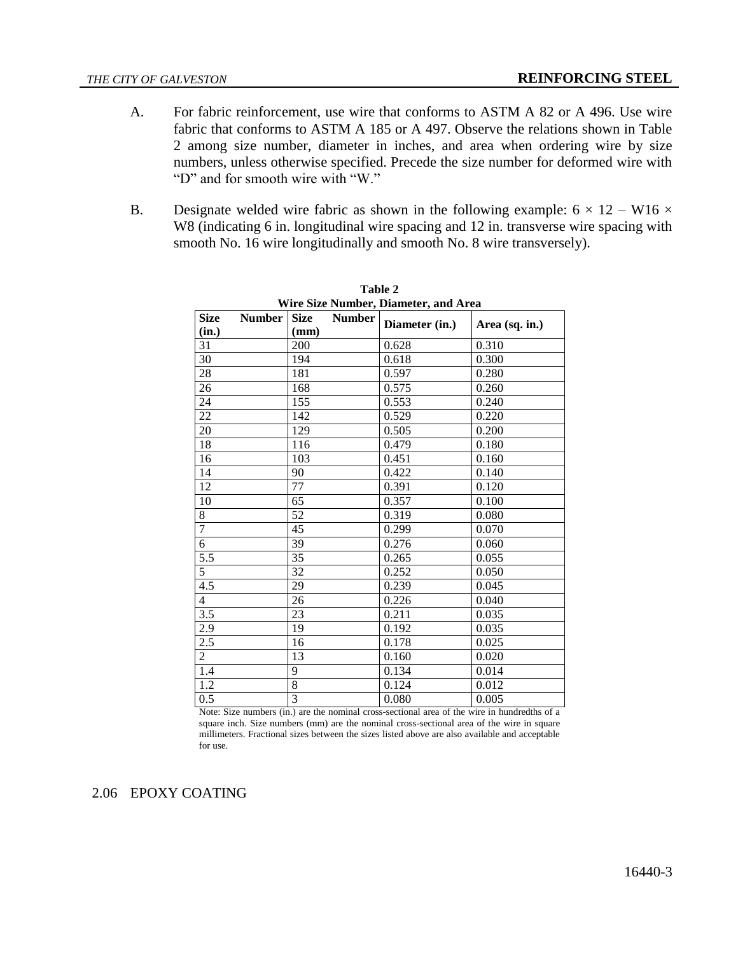- A. For fabric reinforcement, use wire that conforms to ASTM A 82 or A 496. Use wire fabric that conforms to ASTM A 185 or A 497. Observe the relations shown in Table 2 among size number, diameter in inches, and area when ordering wire by size numbers, unless otherwise specified. Precede the size number for deformed wire with "D" and for smooth wire with "W."
- B. Designate welded wire fabric as shown in the following example:  $6 \times 12 W16 \times$ W8 (indicating 6 in. longitudinal wire spacing and 12 in. transverse wire spacing with smooth No. 16 wire longitudinally and smooth No. 8 wire transversely).

| Wire Size Number, Diameter, and Area |               |                                      |                |                |  |
|--------------------------------------|---------------|--------------------------------------|----------------|----------------|--|
| <b>Size</b><br>(in.)                 | <b>Number</b> | <b>Size</b><br><b>Number</b><br>(mm) | Diameter (in.) | Area (sq. in.) |  |
| 31                                   |               | 200                                  | 0.628          | 0.310          |  |
| 30                                   |               | 194                                  | 0.618          | 0.300          |  |
| 28                                   |               | 181                                  | 0.597          | 0.280          |  |
| 26                                   |               | 168                                  | 0.575          | 0.260          |  |
| 24                                   |               | 155                                  | 0.553          | 0.240          |  |
| 22                                   |               | 142                                  | 0.529          | 0.220          |  |
| 20                                   |               | 129                                  | 0.505          | 0.200          |  |
| 18                                   |               | 116                                  | 0.479          | 0.180          |  |
| 16                                   |               | 103                                  | 0.451          | 0.160          |  |
| 14                                   |               | 90                                   | 0.422          | 0.140          |  |
| 12                                   |               | 77                                   | 0.391          | 0.120          |  |
| 10                                   |               | 65                                   | 0.357          | 0.100          |  |
| 8                                    |               | 52                                   | 0.319          | 0.080          |  |
| $\overline{7}$                       |               | 45                                   | 0.299          | 0.070          |  |
| $\overline{6}$                       |               | 39                                   | 0.276          | 0.060          |  |
| 5.5                                  |               | 35                                   | 0.265          | 0.055          |  |
| 5                                    |               | 32                                   | 0.252          | 0.050          |  |
| 4.5                                  |               | 29                                   | 0.239          | 0.045          |  |
| $\overline{4}$                       |               | 26                                   | 0.226          | 0.040          |  |
| 3.5                                  |               | 23                                   | 0.211          | 0.035          |  |
| 2.9                                  |               | 19                                   | 0.192          | 0.035          |  |
| 2.5                                  |               | 16                                   | 0.178          | 0.025          |  |
| $\overline{2}$                       |               | 13                                   | 0.160          | 0.020          |  |
| 1.4                                  |               | 9                                    | 0.134          | 0.014          |  |
| 1.2                                  |               | 8                                    | 0.124          | 0.012          |  |
| 0.5                                  |               | 3                                    | 0.080          | 0.005          |  |

**Table 2 Wire Size Number, Diameter, and Area**

Note: Size numbers (in.) are the nominal cross-sectional area of the wire in hundredths of a square inch. Size numbers (mm) are the nominal cross-sectional area of the wire in square millimeters. Fractional sizes between the sizes listed above are also available and acceptable for use.

2.06 EPOXY COATING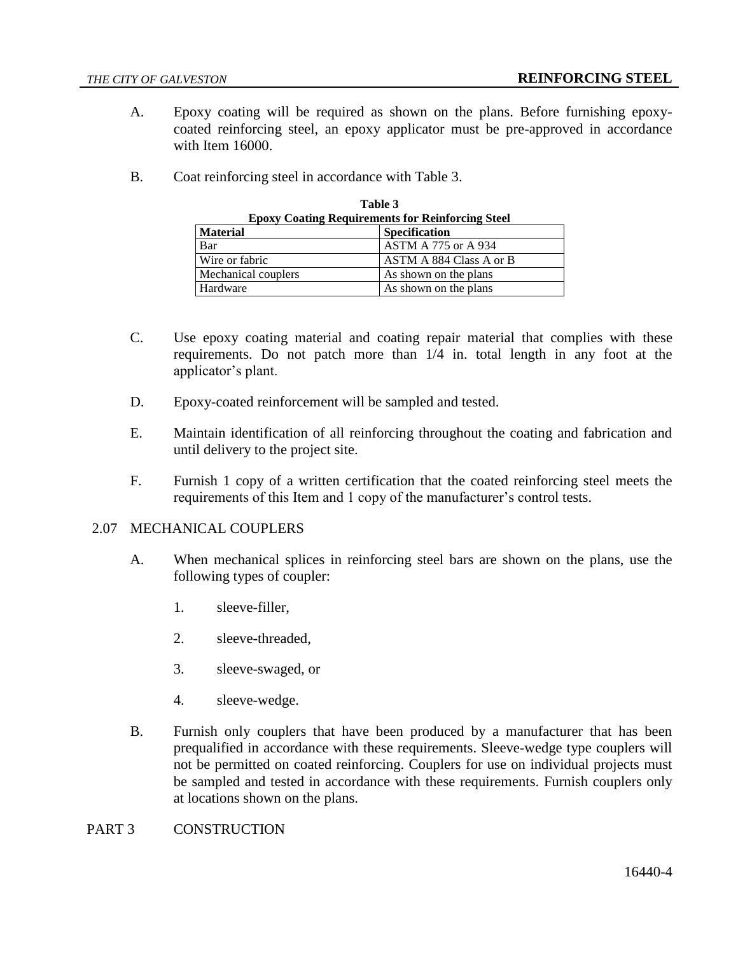- A. Epoxy coating will be required as shown on the plans. Before furnishing epoxycoated reinforcing steel, an epoxy applicator must be pre-approved in accordance with Item 16000.
- B. Coat reinforcing steel in accordance with Table 3.

| таше э                                                  |                            |  |  |
|---------------------------------------------------------|----------------------------|--|--|
| <b>Epoxy Coating Requirements for Reinforcing Steel</b> |                            |  |  |
| <b>Material</b>                                         | <b>Specification</b>       |  |  |
| Bar                                                     | <b>ASTM A 775 or A 934</b> |  |  |
| Wire or fabric                                          | ASTM A 884 Class A or B    |  |  |
| Mechanical couplers                                     | As shown on the plans      |  |  |
| Hardware                                                | As shown on the plans      |  |  |

**Table 3**

- C. Use epoxy coating material and coating repair material that complies with these requirements. Do not patch more than 1/4 in. total length in any foot at the applicator's plant.
- D. Epoxy-coated reinforcement will be sampled and tested.
- E. Maintain identification of all reinforcing throughout the coating and fabrication and until delivery to the project site.
- F. Furnish 1 copy of a written certification that the coated reinforcing steel meets the requirements of this Item and 1 copy of the manufacturer's control tests.

#### 2.07 MECHANICAL COUPLERS

- A. When mechanical splices in reinforcing steel bars are shown on the plans, use the following types of coupler:
	- 1. sleeve-filler,
	- 2. sleeve-threaded,
	- 3. sleeve-swaged, or
	- 4. sleeve-wedge.
- B. Furnish only couplers that have been produced by a manufacturer that has been prequalified in accordance with these requirements. Sleeve-wedge type couplers will not be permitted on coated reinforcing. Couplers for use on individual projects must be sampled and tested in accordance with these requirements. Furnish couplers only at locations shown on the plans.

## PART 3 CONSTRUCTION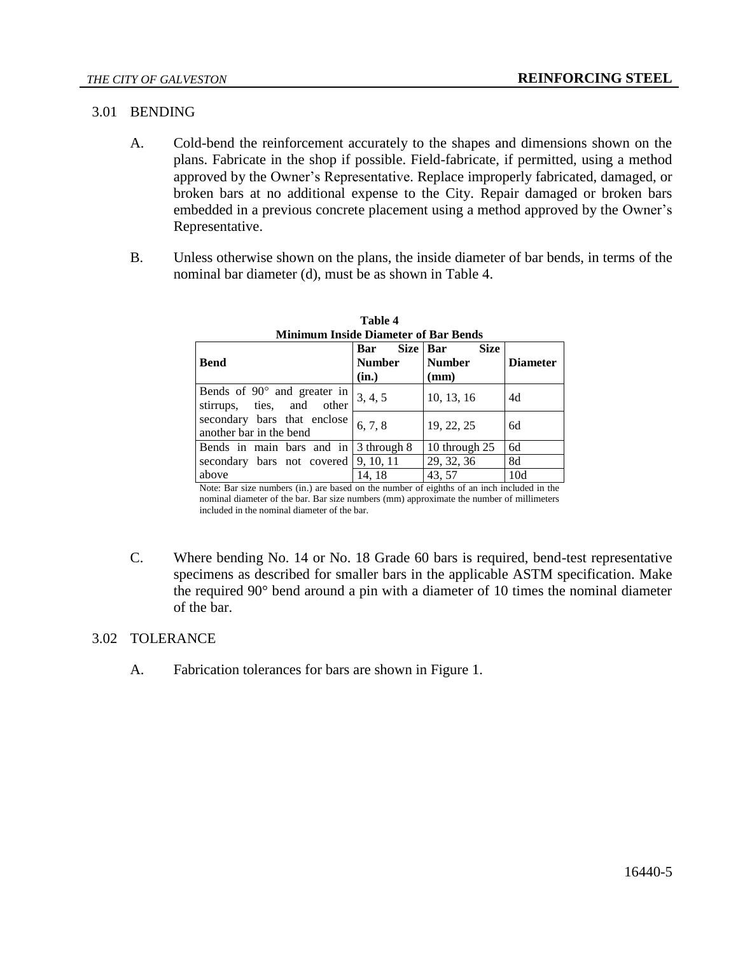### 3.01 BENDING

- A. Cold-bend the reinforcement accurately to the shapes and dimensions shown on the plans. Fabricate in the shop if possible. Field-fabricate, if permitted, using a method approved by the Owner's Representative. Replace improperly fabricated, damaged, or broken bars at no additional expense to the City. Repair damaged or broken bars embedded in a previous concrete placement using a method approved by the Owner's Representative.
- B. Unless otherwise shown on the plans, the inside diameter of bar bends, in terms of the nominal bar diameter (d), must be as shown in Table 4.

| Minimum Inside Diameter of Bar Bends                            |                      |                                          |                 |  |  |
|-----------------------------------------------------------------|----------------------|------------------------------------------|-----------------|--|--|
| <b>Bend</b>                                                     | Bar<br><b>Number</b> | Size Bar<br><b>Size</b><br><b>Number</b> | <b>Diameter</b> |  |  |
|                                                                 | (in.)                | (mm)                                     |                 |  |  |
| Bends of $90^\circ$ and greater in<br>stirrups, ties, and other | 3, 4, 5              | 10, 13, 16                               | 4d              |  |  |
| secondary bars that enclose<br>another bar in the bend          | 6, 7, 8              | 19, 22, 25                               | 6d              |  |  |
| Bends in main bars and in $\vert$ 3 through 8                   |                      | 10 through 25                            | 6d              |  |  |
| secondary bars not covered $\vert 9, 10, 11 \rangle$            |                      | 29, 32, 36                               | 8d              |  |  |
| above                                                           | 14.18                | 43, 57                                   | 10d             |  |  |

| Table 4                                     |
|---------------------------------------------|
| <b>Minimum Inside Diameter of Bar Bends</b> |

Note: Bar size numbers (in.) are based on the number of eighths of an inch included in the nominal diameter of the bar. Bar size numbers (mm) approximate the number of millimeters included in the nominal diameter of the bar.

C. Where bending No. 14 or No. 18 Grade 60 bars is required, bend-test representative specimens as described for smaller bars in the applicable ASTM specification. Make the required 90° bend around a pin with a diameter of 10 times the nominal diameter of the bar.

# 3.02 TOLERANCE

A. Fabrication tolerances for bars are shown in Figure 1.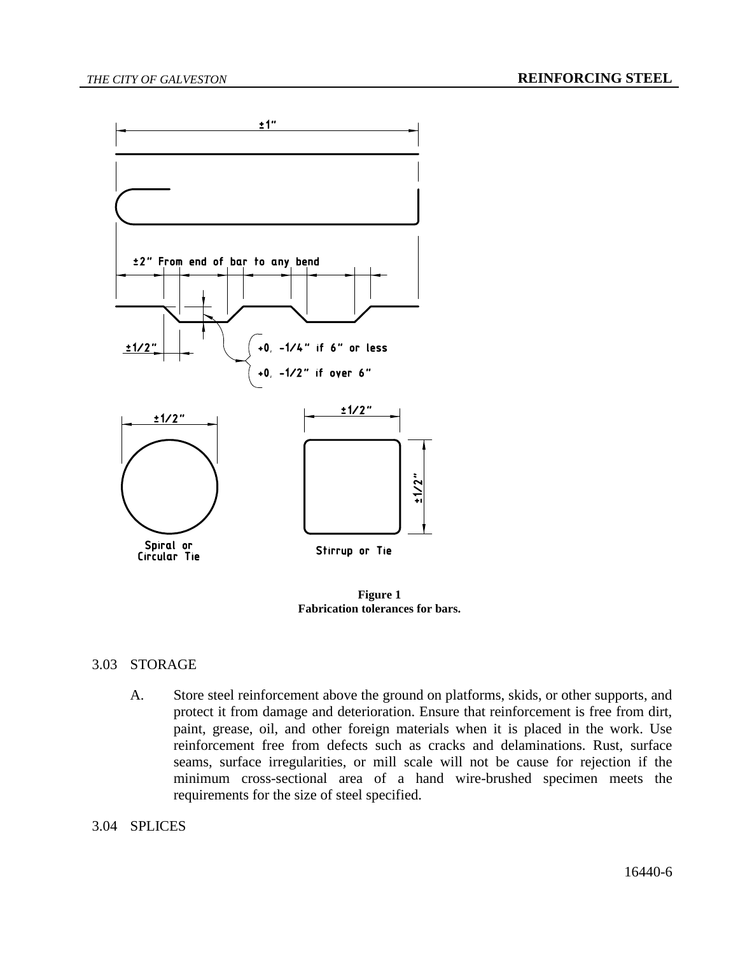

**Figure 1 Fabrication tolerances for bars.**

#### 3.03 STORAGE

A. Store steel reinforcement above the ground on platforms, skids, or other supports, and protect it from damage and deterioration. Ensure that reinforcement is free from dirt, paint, grease, oil, and other foreign materials when it is placed in the work. Use reinforcement free from defects such as cracks and delaminations. Rust, surface seams, surface irregularities, or mill scale will not be cause for rejection if the minimum cross-sectional area of a hand wire-brushed specimen meets the requirements for the size of steel specified.

#### 3.04 SPLICES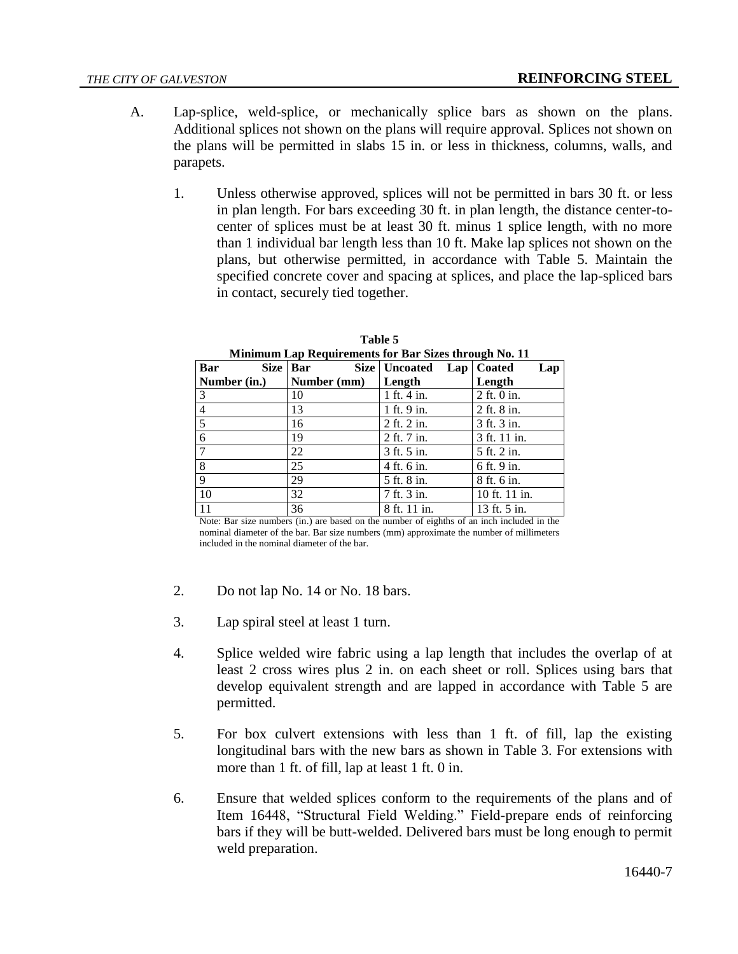- A. Lap-splice, weld-splice, or mechanically splice bars as shown on the plans. Additional splices not shown on the plans will require approval. Splices not shown on the plans will be permitted in slabs 15 in. or less in thickness, columns, walls, and parapets.
	- 1. Unless otherwise approved, splices will not be permitted in bars 30 ft. or less in plan length. For bars exceeding 30 ft. in plan length, the distance center-tocenter of splices must be at least 30 ft. minus 1 splice length, with no more than 1 individual bar length less than 10 ft. Make lap splices not shown on the plans, but otherwise permitted, in accordance with Table 5. Maintain the specified concrete cover and spacing at splices, and place the lap-spliced bars in contact, securely tied together.

| Minimum Lap Requirements for Bar Sizes through No. 11 |             |                 |                     |  |  |
|-------------------------------------------------------|-------------|-----------------|---------------------|--|--|
| Bar                                                   | Size   Bar  | Size   Uncoated | Lap   Coated<br>Lap |  |  |
| Number (in.)                                          | Number (mm) | Length          | Length              |  |  |
| 3                                                     | 10          | $1$ ft. $4$ in. | 2 ft. 0 in.         |  |  |
| 4                                                     | 13          | 1 ft. 9 in.     | 2 ft. 8 in.         |  |  |
| 5                                                     | 16          | 2 ft. 2 in.     | 3 ft. 3 in.         |  |  |
| 6                                                     | 19          | 2 ft. 7 in.     | 3 ft. 11 in.        |  |  |
| $\mathcal{I}$                                         | 22          | 3 ft. 5 in.     | 5 ft. 2 in.         |  |  |
| 8                                                     | 25          | 4 ft. 6 in.     | 6 ft. 9 in.         |  |  |
| $\mathbf Q$                                           | 29          | 5 ft. 8 in.     | 8 ft. 6 in.         |  |  |
| 10                                                    | 32          | 7 ft. 3 in.     | 10 ft. 11 in.       |  |  |
| 11                                                    | 36          | 8 ft. 11 in.    | 13 ft. 5 in.        |  |  |

| Table 5 |  |  |  |
|---------|--|--|--|
|         |  |  |  |

Note: Bar size numbers (in.) are based on the number of eighths of an inch included in the nominal diameter of the bar. Bar size numbers (mm) approximate the number of millimeters included in the nominal diameter of the bar.

- 2. Do not lap No. 14 or No. 18 bars.
- 3. Lap spiral steel at least 1 turn.
- 4. Splice welded wire fabric using a lap length that includes the overlap of at least 2 cross wires plus 2 in. on each sheet or roll. Splices using bars that develop equivalent strength and are lapped in accordance with Table 5 are permitted.
- 5. For box culvert extensions with less than 1 ft. of fill, lap the existing longitudinal bars with the new bars as shown in Table 3. For extensions with more than 1 ft. of fill, lap at least 1 ft. 0 in.
- 6. Ensure that welded splices conform to the requirements of the plans and of Item 16448, "Structural Field Welding." Field-prepare ends of reinforcing bars if they will be butt-welded. Delivered bars must be long enough to permit weld preparation.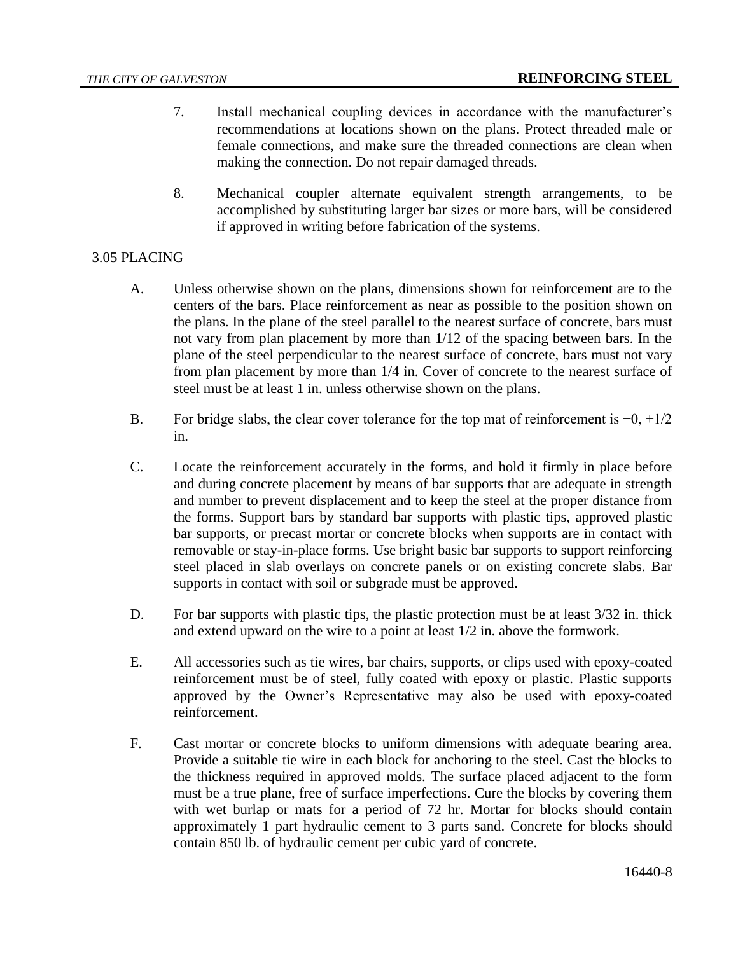- 7. Install mechanical coupling devices in accordance with the manufacturer's recommendations at locations shown on the plans. Protect threaded male or female connections, and make sure the threaded connections are clean when making the connection. Do not repair damaged threads.
- 8. Mechanical coupler alternate equivalent strength arrangements, to be accomplished by substituting larger bar sizes or more bars, will be considered if approved in writing before fabrication of the systems.

# 3.05 PLACING

- A. Unless otherwise shown on the plans, dimensions shown for reinforcement are to the centers of the bars. Place reinforcement as near as possible to the position shown on the plans. In the plane of the steel parallel to the nearest surface of concrete, bars must not vary from plan placement by more than 1/12 of the spacing between bars. In the plane of the steel perpendicular to the nearest surface of concrete, bars must not vary from plan placement by more than 1/4 in. Cover of concrete to the nearest surface of steel must be at least 1 in. unless otherwise shown on the plans.
- B. For bridge slabs, the clear cover tolerance for the top mat of reinforcement is  $-0, +1/2$ in.
- C. Locate the reinforcement accurately in the forms, and hold it firmly in place before and during concrete placement by means of bar supports that are adequate in strength and number to prevent displacement and to keep the steel at the proper distance from the forms. Support bars by standard bar supports with plastic tips, approved plastic bar supports, or precast mortar or concrete blocks when supports are in contact with removable or stay-in-place forms. Use bright basic bar supports to support reinforcing steel placed in slab overlays on concrete panels or on existing concrete slabs. Bar supports in contact with soil or subgrade must be approved.
- D. For bar supports with plastic tips, the plastic protection must be at least  $3/32$  in. thick and extend upward on the wire to a point at least 1/2 in. above the formwork.
- E. All accessories such as tie wires, bar chairs, supports, or clips used with epoxy-coated reinforcement must be of steel, fully coated with epoxy or plastic. Plastic supports approved by the Owner's Representative may also be used with epoxy-coated reinforcement.
- F. Cast mortar or concrete blocks to uniform dimensions with adequate bearing area. Provide a suitable tie wire in each block for anchoring to the steel. Cast the blocks to the thickness required in approved molds. The surface placed adjacent to the form must be a true plane, free of surface imperfections. Cure the blocks by covering them with wet burlap or mats for a period of 72 hr. Mortar for blocks should contain approximately 1 part hydraulic cement to 3 parts sand. Concrete for blocks should contain 850 lb. of hydraulic cement per cubic yard of concrete.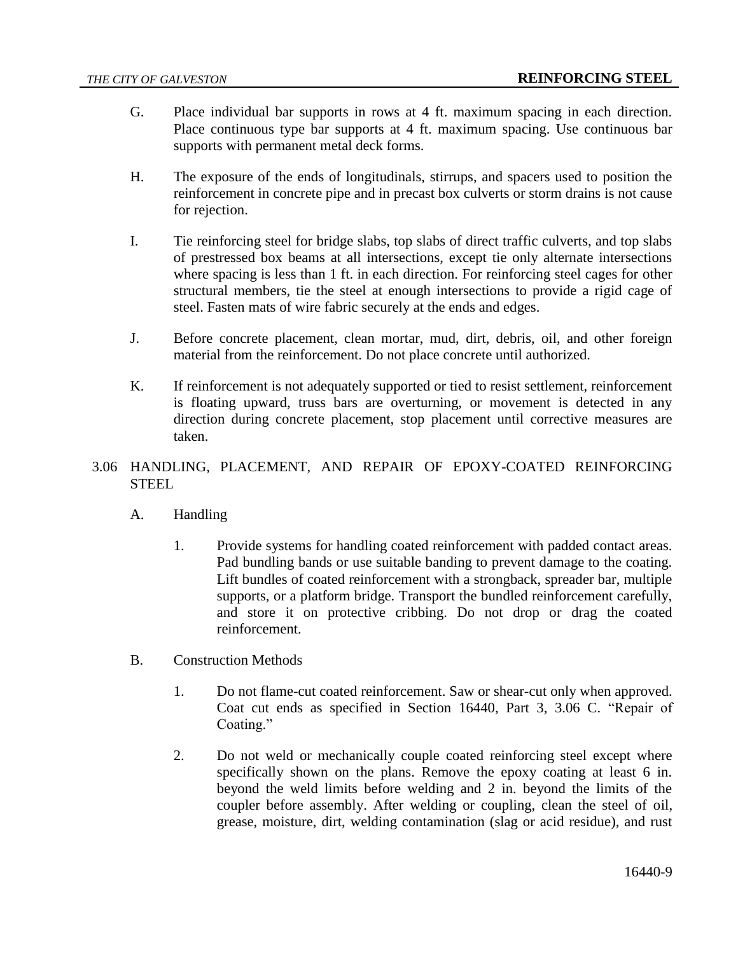- G. Place individual bar supports in rows at 4 ft. maximum spacing in each direction. Place continuous type bar supports at 4 ft. maximum spacing. Use continuous bar supports with permanent metal deck forms.
- H. The exposure of the ends of longitudinals, stirrups, and spacers used to position the reinforcement in concrete pipe and in precast box culverts or storm drains is not cause for rejection.
- I. Tie reinforcing steel for bridge slabs, top slabs of direct traffic culverts, and top slabs of prestressed box beams at all intersections, except tie only alternate intersections where spacing is less than 1 ft. in each direction. For reinforcing steel cages for other structural members, tie the steel at enough intersections to provide a rigid cage of steel. Fasten mats of wire fabric securely at the ends and edges.
- J. Before concrete placement, clean mortar, mud, dirt, debris, oil, and other foreign material from the reinforcement. Do not place concrete until authorized.
- K. If reinforcement is not adequately supported or tied to resist settlement, reinforcement is floating upward, truss bars are overturning, or movement is detected in any direction during concrete placement, stop placement until corrective measures are taken.
- 3.06 HANDLING, PLACEMENT, AND REPAIR OF EPOXY-COATED REINFORCING **STEEL** 
	- A. Handling
		- 1. Provide systems for handling coated reinforcement with padded contact areas. Pad bundling bands or use suitable banding to prevent damage to the coating. Lift bundles of coated reinforcement with a strongback, spreader bar, multiple supports, or a platform bridge. Transport the bundled reinforcement carefully, and store it on protective cribbing. Do not drop or drag the coated reinforcement.
	- B. Construction Methods
		- 1. Do not flame-cut coated reinforcement. Saw or shear-cut only when approved. Coat cut ends as specified in Section 16440, Part 3, 3.06 C. "Repair of Coating."
		- 2. Do not weld or mechanically couple coated reinforcing steel except where specifically shown on the plans. Remove the epoxy coating at least 6 in. beyond the weld limits before welding and 2 in. beyond the limits of the coupler before assembly. After welding or coupling, clean the steel of oil, grease, moisture, dirt, welding contamination (slag or acid residue), and rust